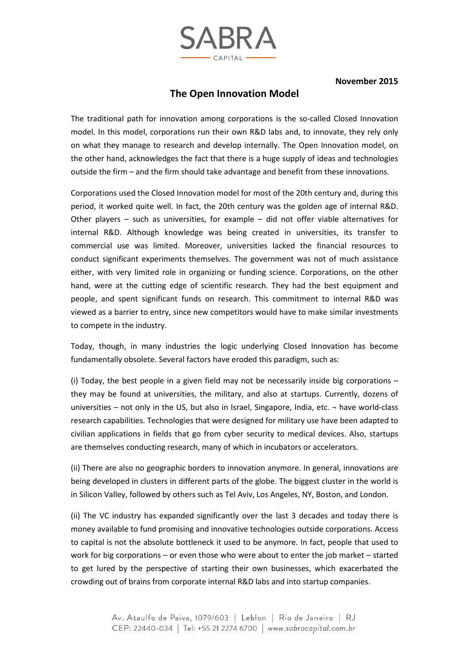

**November 2015** 

## **The Open Innovation Model**

The traditional path for innovation among corporations is the so-called Closed Innovation model. In this model, corporations run their own R&D labs and, to innovate, they rely only on what they manage to research and develop internally. The Open Innovation model, on the other hand, acknowledges the fact that there is a huge supply of ideas and technologies outside the firm – and the firm should take advantage and benefit from these innovations.

Corporations used the Closed Innovation model for most of the 20th century and, during this period, it worked quite well. In fact, the 20th century was the golden age of internal R&D. Other players – such as universities, for example – did not offer viable alternatives for internal R&D. Although knowledge was being created in universities, its transfer to commercial use was limited. Moreover, universities lacked the financial resources to conduct significant experiments themselves. The government was not of much assistance either, with very limited role in organizing or funding science. Corporations, on the other hand, were at the cutting edge of scientific research. They had the best equipment and people, and spent significant funds on research. This commitment to internal R&D was viewed as a barrier to entry, since new competitors would have to make similar investments to compete in the industry.

Today, though, in many industries the logic underlying Closed Innovation has become fundamentally obsolete. Several factors have eroded this paradigm, such as:

(i) Today, the best people in a given field may not be necessarily inside big corporations – they may be found at universities, the military, and also at startups. Currently, dozens of universities – not only in the US, but also in Israel, Singapore, India, etc.  $\neg$  have world-class research capabilities. Technologies that were designed for military use have been adapted to civilian applications in fields that go from cyber security to medical devices. Also, startups are themselves conducting research, many of which in incubators or accelerators.

(ii) There are also no geographic borders to innovation anymore. In general, innovations are being developed in clusters in different parts of the globe. The biggest cluster in the world is in Silicon Valley, followed by others such as Tel Aviv, Los Angeles, NY, Boston, and London.

(ii) The VC industry has expanded significantly over the last 3 decades and today there is money available to fund promising and innovative technologies outside corporations. Access to capital is not the absolute bottleneck it used to be anymore. In fact, people that used to work for big corporations – or even those who were about to enter the job market – started to get lured by the perspective of starting their own businesses, which exacerbated the crowding out of brains from corporate internal R&D labs and into startup companies.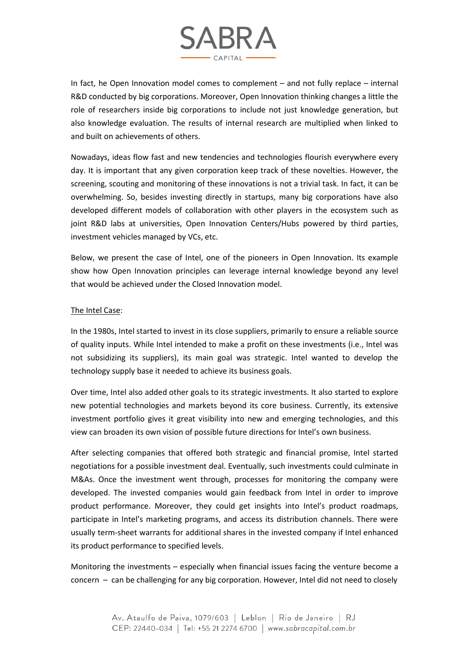

In fact, he Open Innovation model comes to complement – and not fully replace – internal R&D conducted by big corporations. Moreover, Open Innovation thinking changes a little the role of researchers inside big corporations to include not just knowledge generation, but also knowledge evaluation. The results of internal research are multiplied when linked to and built on achievements of others.

Nowadays, ideas flow fast and new tendencies and technologies flourish everywhere every day. It is important that any given corporation keep track of these novelties. However, the screening, scouting and monitoring of these innovations is not a trivial task. In fact, it can be overwhelming. So, besides investing directly in startups, many big corporations have also developed different models of collaboration with other players in the ecosystem such as joint R&D labs at universities, Open Innovation Centers/Hubs powered by third parties, investment vehicles managed by VCs, etc.

Below, we present the case of Intel, one of the pioneers in Open Innovation. Its example show how Open Innovation principles can leverage internal knowledge beyond any level that would be achieved under the Closed Innovation model.

## The Intel Case:

In the 1980s, Intel started to invest in its close suppliers, primarily to ensure a reliable source of quality inputs. While Intel intended to make a profit on these investments (i.e., Intel was not subsidizing its suppliers), its main goal was strategic. Intel wanted to develop the technology supply base it needed to achieve its business goals.

Over time, Intel also added other goals to its strategic investments. It also started to explore new potential technologies and markets beyond its core business. Currently, its extensive investment portfolio gives it great visibility into new and emerging technologies, and this view can broaden its own vision of possible future directions for Intel's own business.

After selecting companies that offered both strategic and financial promise, Intel started negotiations for a possible investment deal. Eventually, such investments could culminate in M&As. Once the investment went through, processes for monitoring the company were developed. The invested companies would gain feedback from Intel in order to improve product performance. Moreover, they could get insights into Intel's product roadmaps, participate in Intel's marketing programs, and access its distribution channels. There were usually term-sheet warrants for additional shares in the invested company if Intel enhanced its product performance to specified levels.

Monitoring the investments – especially when financial issues facing the venture become a concern – can be challenging for any big corporation. However, Intel did not need to closely